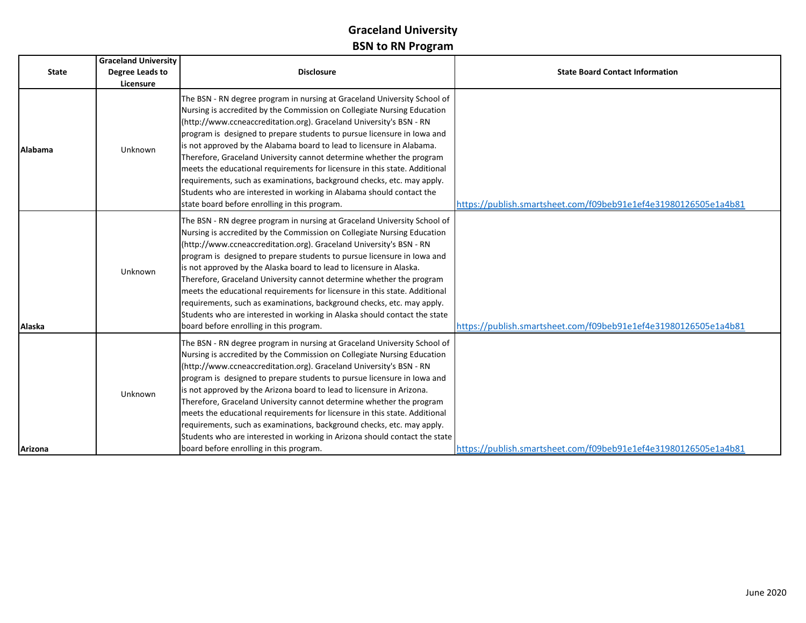|              | <b>Graceland University</b> |                                                                                                                                                                                                                                                                                                                                                                                                                                                                                                                                                                                                                                                                                                                                         |                                                                 |
|--------------|-----------------------------|-----------------------------------------------------------------------------------------------------------------------------------------------------------------------------------------------------------------------------------------------------------------------------------------------------------------------------------------------------------------------------------------------------------------------------------------------------------------------------------------------------------------------------------------------------------------------------------------------------------------------------------------------------------------------------------------------------------------------------------------|-----------------------------------------------------------------|
| <b>State</b> | Degree Leads to             | <b>Disclosure</b>                                                                                                                                                                                                                                                                                                                                                                                                                                                                                                                                                                                                                                                                                                                       | <b>State Board Contact Information</b>                          |
|              | Licensure                   |                                                                                                                                                                                                                                                                                                                                                                                                                                                                                                                                                                                                                                                                                                                                         |                                                                 |
| Alabama      | Unknown                     | The BSN - RN degree program in nursing at Graceland University School of<br>Nursing is accredited by the Commission on Collegiate Nursing Education<br>(http://www.ccneaccreditation.org). Graceland University's BSN - RN<br>program is designed to prepare students to pursue licensure in Iowa and<br>is not approved by the Alabama board to lead to licensure in Alabama.<br>Therefore, Graceland University cannot determine whether the program<br>meets the educational requirements for licensure in this state. Additional<br>requirements, such as examinations, background checks, etc. may apply.<br>Students who are interested in working in Alabama should contact the<br>state board before enrolling in this program. | https://publish.smartsheet.com/f09beb91e1ef4e31980126505e1a4b81 |
| Alaska       | Unknown                     | The BSN - RN degree program in nursing at Graceland University School of<br>Nursing is accredited by the Commission on Collegiate Nursing Education<br>(http://www.ccneaccreditation.org). Graceland University's BSN - RN<br>program is designed to prepare students to pursue licensure in lowa and<br>is not approved by the Alaska board to lead to licensure in Alaska.<br>Therefore, Graceland University cannot determine whether the program<br>meets the educational requirements for licensure in this state. Additional<br>requirements, such as examinations, background checks, etc. may apply.<br>Students who are interested in working in Alaska should contact the state<br>board before enrolling in this program.    | https://publish.smartsheet.com/f09beb91e1ef4e31980126505e1a4b81 |
|              | Unknown                     | The BSN - RN degree program in nursing at Graceland University School of<br>Nursing is accredited by the Commission on Collegiate Nursing Education<br>(http://www.ccneaccreditation.org). Graceland University's BSN - RN<br>program is designed to prepare students to pursue licensure in lowa and<br>is not approved by the Arizona board to lead to licensure in Arizona.<br>Therefore, Graceland University cannot determine whether the program<br>meets the educational requirements for licensure in this state. Additional<br>requirements, such as examinations, background checks, etc. may apply.<br>Students who are interested in working in Arizona should contact the state                                            |                                                                 |
| Arizona      |                             | board before enrolling in this program.                                                                                                                                                                                                                                                                                                                                                                                                                                                                                                                                                                                                                                                                                                 | https://publish.smartsheet.com/f09beb91e1ef4e31980126505e1a4b81 |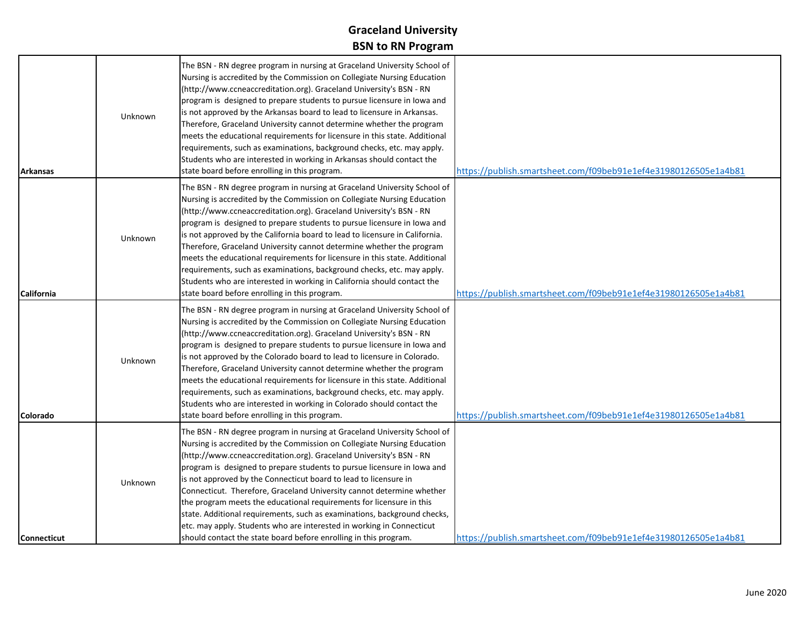| <b>Arkansas</b>    | Unknown | The BSN - RN degree program in nursing at Graceland University School of<br>Nursing is accredited by the Commission on Collegiate Nursing Education<br>(http://www.ccneaccreditation.org). Graceland University's BSN - RN<br>program is designed to prepare students to pursue licensure in lowa and<br>is not approved by the Arkansas board to lead to licensure in Arkansas.<br>Therefore, Graceland University cannot determine whether the program<br>meets the educational requirements for licensure in this state. Additional<br>requirements, such as examinations, background checks, etc. may apply.<br>Students who are interested in working in Arkansas should contact the<br>state board before enrolling in this program.          | https://publish.smartsheet.com/f09beb91e1ef4e31980126505e1a4b81 |
|--------------------|---------|-----------------------------------------------------------------------------------------------------------------------------------------------------------------------------------------------------------------------------------------------------------------------------------------------------------------------------------------------------------------------------------------------------------------------------------------------------------------------------------------------------------------------------------------------------------------------------------------------------------------------------------------------------------------------------------------------------------------------------------------------------|-----------------------------------------------------------------|
| California         | Unknown | The BSN - RN degree program in nursing at Graceland University School of<br>Nursing is accredited by the Commission on Collegiate Nursing Education<br>(http://www.ccneaccreditation.org). Graceland University's BSN - RN<br>program is designed to prepare students to pursue licensure in lowa and<br>is not approved by the California board to lead to licensure in California.<br>Therefore, Graceland University cannot determine whether the program<br>meets the educational requirements for licensure in this state. Additional<br>requirements, such as examinations, background checks, etc. may apply.<br>Students who are interested in working in California should contact the<br>state board before enrolling in this program.    | https://publish.smartsheet.com/f09beb91e1ef4e31980126505e1a4b81 |
| Colorado           | Unknown | The BSN - RN degree program in nursing at Graceland University School of<br>Nursing is accredited by the Commission on Collegiate Nursing Education<br>(http://www.ccneaccreditation.org). Graceland University's BSN - RN<br>program is designed to prepare students to pursue licensure in lowa and<br>is not approved by the Colorado board to lead to licensure in Colorado.<br>Therefore, Graceland University cannot determine whether the program<br>meets the educational requirements for licensure in this state. Additional<br>requirements, such as examinations, background checks, etc. may apply.<br>Students who are interested in working in Colorado should contact the<br>state board before enrolling in this program.          | https://publish.smartsheet.com/f09beb91e1ef4e31980126505e1a4b81 |
| <b>Connecticut</b> | Unknown | The BSN - RN degree program in nursing at Graceland University School of<br>Nursing is accredited by the Commission on Collegiate Nursing Education<br>(http://www.ccneaccreditation.org). Graceland University's BSN - RN<br>program is designed to prepare students to pursue licensure in lowa and<br>is not approved by the Connecticut board to lead to licensure in<br>Connecticut. Therefore, Graceland University cannot determine whether<br>the program meets the educational requirements for licensure in this<br>state. Additional requirements, such as examinations, background checks,<br>etc. may apply. Students who are interested in working in Connecticut<br>should contact the state board before enrolling in this program. | https://publish.smartsheet.com/f09beb91e1ef4e31980126505e1a4b81 |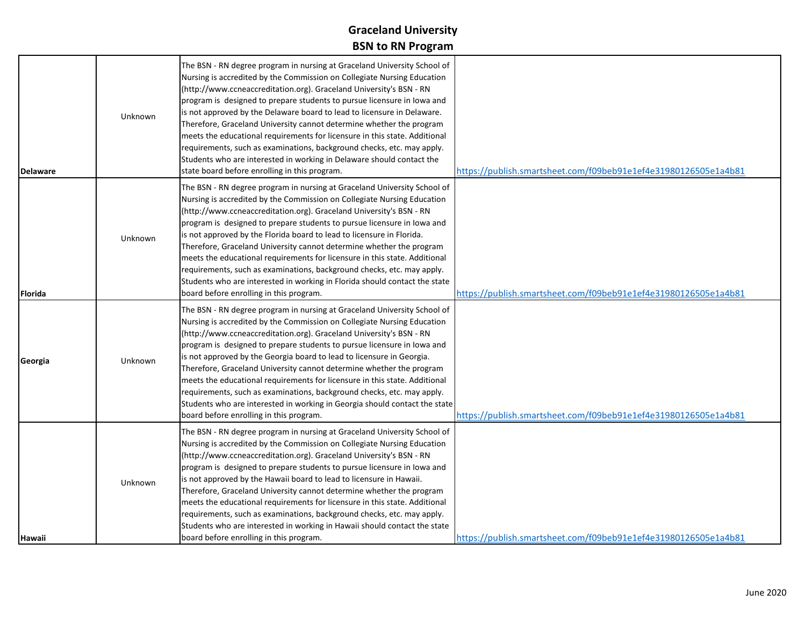| <b>Delaware</b> | Unknown | The BSN - RN degree program in nursing at Graceland University School of<br>Nursing is accredited by the Commission on Collegiate Nursing Education<br>(http://www.ccneaccreditation.org). Graceland University's BSN - RN<br>program is designed to prepare students to pursue licensure in lowa and<br>is not approved by the Delaware board to lead to licensure in Delaware.<br>Therefore, Graceland University cannot determine whether the program<br>meets the educational requirements for licensure in this state. Additional<br>requirements, such as examinations, background checks, etc. may apply.<br>Students who are interested in working in Delaware should contact the<br>state board before enrolling in this program. | https://publish.smartsheet.com/f09beb91e1ef4e31980126505e1a4b81 |
|-----------------|---------|--------------------------------------------------------------------------------------------------------------------------------------------------------------------------------------------------------------------------------------------------------------------------------------------------------------------------------------------------------------------------------------------------------------------------------------------------------------------------------------------------------------------------------------------------------------------------------------------------------------------------------------------------------------------------------------------------------------------------------------------|-----------------------------------------------------------------|
| Florida         | Unknown | The BSN - RN degree program in nursing at Graceland University School of<br>Nursing is accredited by the Commission on Collegiate Nursing Education<br>(http://www.ccneaccreditation.org). Graceland University's BSN - RN<br>program is designed to prepare students to pursue licensure in lowa and<br>is not approved by the Florida board to lead to licensure in Florida.<br>Therefore, Graceland University cannot determine whether the program<br>meets the educational requirements for licensure in this state. Additional<br>requirements, such as examinations, background checks, etc. may apply.<br>Students who are interested in working in Florida should contact the state<br>board before enrolling in this program.    | https://publish.smartsheet.com/f09beb91e1ef4e31980126505e1a4b81 |
| Georgia         | Unknown | The BSN - RN degree program in nursing at Graceland University School of<br>Nursing is accredited by the Commission on Collegiate Nursing Education<br>(http://www.ccneaccreditation.org). Graceland University's BSN - RN<br>program is designed to prepare students to pursue licensure in lowa and<br>is not approved by the Georgia board to lead to licensure in Georgia.<br>Therefore, Graceland University cannot determine whether the program<br>meets the educational requirements for licensure in this state. Additional<br>requirements, such as examinations, background checks, etc. may apply.<br>Students who are interested in working in Georgia should contact the state<br>board before enrolling in this program.    | https://publish.smartsheet.com/f09beb91e1ef4e31980126505e1a4b81 |
| Hawaii          | Unknown | The BSN - RN degree program in nursing at Graceland University School of<br>Nursing is accredited by the Commission on Collegiate Nursing Education<br>(http://www.ccneaccreditation.org). Graceland University's BSN - RN<br>program is designed to prepare students to pursue licensure in lowa and<br>is not approved by the Hawaii board to lead to licensure in Hawaii.<br>Therefore, Graceland University cannot determine whether the program<br>meets the educational requirements for licensure in this state. Additional<br>requirements, such as examinations, background checks, etc. may apply.<br>Students who are interested in working in Hawaii should contact the state<br>board before enrolling in this program.       | https://publish.smartsheet.com/f09beb91e1ef4e31980126505e1a4b81 |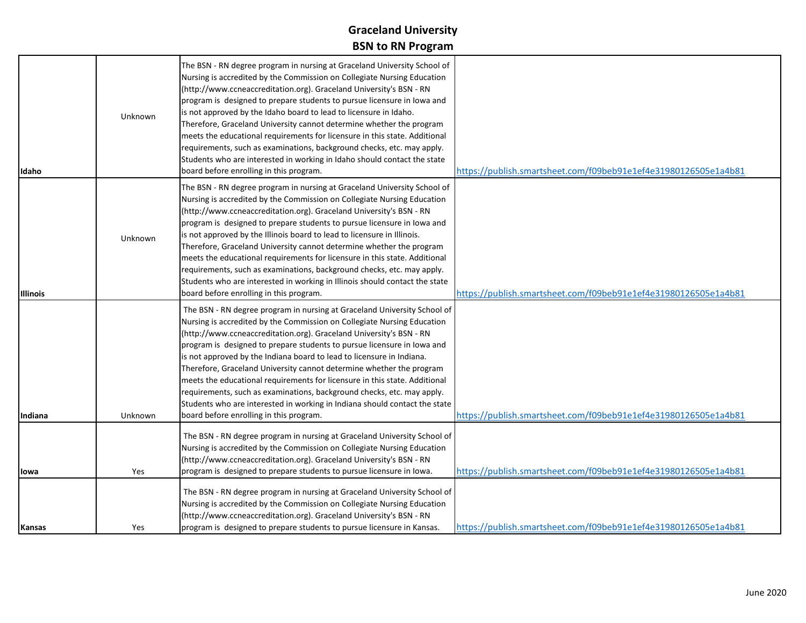| Idaho           | Unknown | The BSN - RN degree program in nursing at Graceland University School of<br>Nursing is accredited by the Commission on Collegiate Nursing Education<br>(http://www.ccneaccreditation.org). Graceland University's BSN - RN<br>program is designed to prepare students to pursue licensure in lowa and<br>is not approved by the Idaho board to lead to licensure in Idaho.<br>Therefore, Graceland University cannot determine whether the program<br>meets the educational requirements for licensure in this state. Additional<br>requirements, such as examinations, background checks, etc. may apply.<br>Students who are interested in working in Idaho should contact the state<br>board before enrolling in this program.          | https://publish.smartsheet.com/f09beb91e1ef4e31980126505e1a4b81 |
|-----------------|---------|--------------------------------------------------------------------------------------------------------------------------------------------------------------------------------------------------------------------------------------------------------------------------------------------------------------------------------------------------------------------------------------------------------------------------------------------------------------------------------------------------------------------------------------------------------------------------------------------------------------------------------------------------------------------------------------------------------------------------------------------|-----------------------------------------------------------------|
| <b>Illinois</b> | Unknown | The BSN - RN degree program in nursing at Graceland University School of<br>Nursing is accredited by the Commission on Collegiate Nursing Education<br>(http://www.ccneaccreditation.org). Graceland University's BSN - RN<br>program is designed to prepare students to pursue licensure in lowa and<br>is not approved by the Illinois board to lead to licensure in Illinois.<br>Therefore, Graceland University cannot determine whether the program<br>meets the educational requirements for licensure in this state. Additional<br>requirements, such as examinations, background checks, etc. may apply.<br>Students who are interested in working in Illinois should contact the state<br>board before enrolling in this program. | https://publish.smartsheet.com/f09beb91e1ef4e31980126505e1a4b81 |
| <b>Indiana</b>  | Unknown | The BSN - RN degree program in nursing at Graceland University School of<br>Nursing is accredited by the Commission on Collegiate Nursing Education<br>(http://www.ccneaccreditation.org). Graceland University's BSN - RN<br>program is designed to prepare students to pursue licensure in lowa and<br>is not approved by the Indiana board to lead to licensure in Indiana.<br>Therefore, Graceland University cannot determine whether the program<br>meets the educational requirements for licensure in this state. Additional<br>requirements, such as examinations, background checks, etc. may apply.<br>Students who are interested in working in Indiana should contact the state<br>board before enrolling in this program.    | https://publish.smartsheet.com/f09beb91e1ef4e31980126505e1a4b81 |
| lowa            | Yes     | The BSN - RN degree program in nursing at Graceland University School of<br>Nursing is accredited by the Commission on Collegiate Nursing Education<br>(http://www.ccneaccreditation.org). Graceland University's BSN - RN<br>program is designed to prepare students to pursue licensure in lowa.                                                                                                                                                                                                                                                                                                                                                                                                                                         | https://publish.smartsheet.com/f09beb91e1ef4e31980126505e1a4b81 |
| Kansas          | Yes     | The BSN - RN degree program in nursing at Graceland University School of<br>Nursing is accredited by the Commission on Collegiate Nursing Education<br>(http://www.ccneaccreditation.org). Graceland University's BSN - RN<br>program is designed to prepare students to pursue licensure in Kansas.                                                                                                                                                                                                                                                                                                                                                                                                                                       | https://publish.smartsheet.com/f09beb91e1ef4e31980126505e1a4b81 |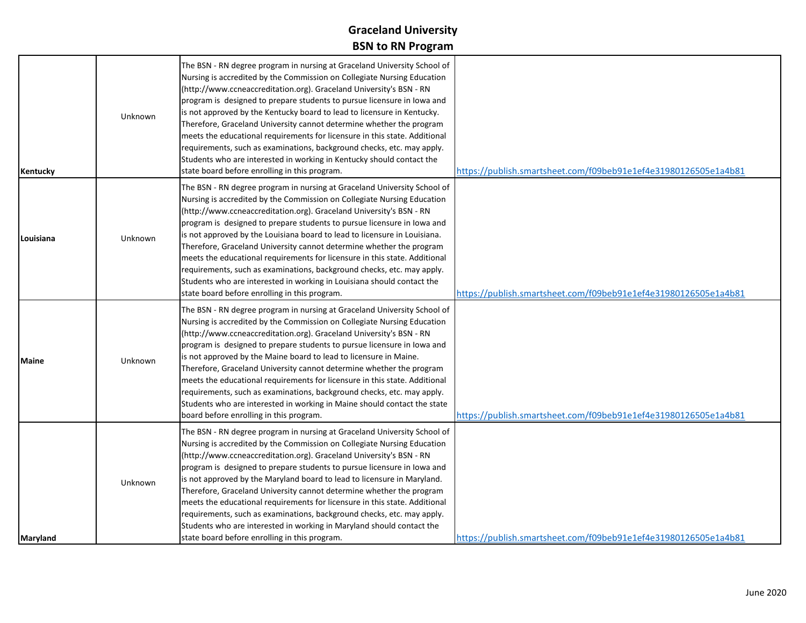| Kentucky     | <b>Unknown</b> | The BSN - RN degree program in nursing at Graceland University School of<br>Nursing is accredited by the Commission on Collegiate Nursing Education<br>(http://www.ccneaccreditation.org). Graceland University's BSN - RN<br>program is designed to prepare students to pursue licensure in lowa and<br>is not approved by the Kentucky board to lead to licensure in Kentucky.<br>Therefore, Graceland University cannot determine whether the program<br>meets the educational requirements for licensure in this state. Additional<br>requirements, such as examinations, background checks, etc. may apply.<br>Students who are interested in working in Kentucky should contact the<br>state board before enrolling in this program.    | https://publish.smartsheet.com/f09beb91e1ef4e31980126505e1a4b81 |
|--------------|----------------|-----------------------------------------------------------------------------------------------------------------------------------------------------------------------------------------------------------------------------------------------------------------------------------------------------------------------------------------------------------------------------------------------------------------------------------------------------------------------------------------------------------------------------------------------------------------------------------------------------------------------------------------------------------------------------------------------------------------------------------------------|-----------------------------------------------------------------|
| Louisiana    | <b>Unknown</b> | The BSN - RN degree program in nursing at Graceland University School of<br>Nursing is accredited by the Commission on Collegiate Nursing Education<br>(http://www.ccneaccreditation.org). Graceland University's BSN - RN<br>program is designed to prepare students to pursue licensure in lowa and<br>is not approved by the Louisiana board to lead to licensure in Louisiana.<br>Therefore, Graceland University cannot determine whether the program<br>meets the educational requirements for licensure in this state. Additional<br>requirements, such as examinations, background checks, etc. may apply.<br>Students who are interested in working in Louisiana should contact the<br>state board before enrolling in this program. | https://publish.smartsheet.com/f09beb91e1ef4e31980126505e1a4b81 |
| <b>Maine</b> | Unknown        | The BSN - RN degree program in nursing at Graceland University School of<br>Nursing is accredited by the Commission on Collegiate Nursing Education<br>(http://www.ccneaccreditation.org). Graceland University's BSN - RN<br>program is designed to prepare students to pursue licensure in lowa and<br>is not approved by the Maine board to lead to licensure in Maine.<br>Therefore, Graceland University cannot determine whether the program<br>meets the educational requirements for licensure in this state. Additional<br>requirements, such as examinations, background checks, etc. may apply.<br>Students who are interested in working in Maine should contact the state<br>board before enrolling in this program.             | https://publish.smartsheet.com/f09beb91e1ef4e31980126505e1a4b81 |
| Maryland     | Unknown        | The BSN - RN degree program in nursing at Graceland University School of<br>Nursing is accredited by the Commission on Collegiate Nursing Education<br>(http://www.ccneaccreditation.org). Graceland University's BSN - RN<br>program is designed to prepare students to pursue licensure in lowa and<br>is not approved by the Maryland board to lead to licensure in Maryland.<br>Therefore, Graceland University cannot determine whether the program<br>meets the educational requirements for licensure in this state. Additional<br>requirements, such as examinations, background checks, etc. may apply.<br>Students who are interested in working in Maryland should contact the<br>state board before enrolling in this program.    | https://publish.smartsheet.com/f09beb91e1ef4e31980126505e1a4b81 |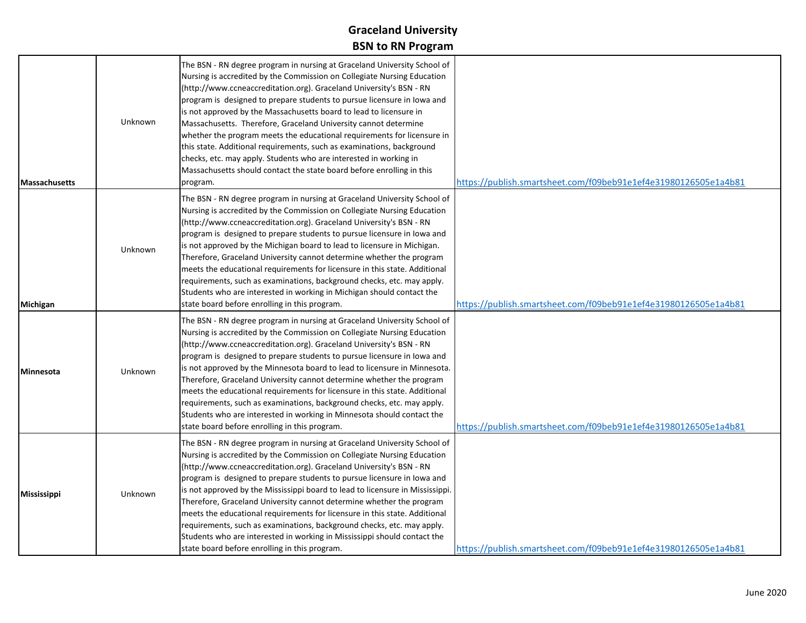| <b>Massachusetts</b> | Unknown | The BSN - RN degree program in nursing at Graceland University School of<br>Nursing is accredited by the Commission on Collegiate Nursing Education<br>(http://www.ccneaccreditation.org). Graceland University's BSN - RN<br>program is designed to prepare students to pursue licensure in lowa and<br>is not approved by the Massachusetts board to lead to licensure in<br>Massachusetts. Therefore, Graceland University cannot determine<br>whether the program meets the educational requirements for licensure in<br>this state. Additional requirements, such as examinations, background<br>checks, etc. may apply. Students who are interested in working in<br>Massachusetts should contact the state board before enrolling in this<br>program. | https://publish.smartsheet.com/f09beb91e1ef4e31980126505e1a4b81 |
|----------------------|---------|--------------------------------------------------------------------------------------------------------------------------------------------------------------------------------------------------------------------------------------------------------------------------------------------------------------------------------------------------------------------------------------------------------------------------------------------------------------------------------------------------------------------------------------------------------------------------------------------------------------------------------------------------------------------------------------------------------------------------------------------------------------|-----------------------------------------------------------------|
| Michigan             | Unknown | The BSN - RN degree program in nursing at Graceland University School of<br>Nursing is accredited by the Commission on Collegiate Nursing Education<br>(http://www.ccneaccreditation.org). Graceland University's BSN - RN<br>program is designed to prepare students to pursue licensure in lowa and<br>is not approved by the Michigan board to lead to licensure in Michigan.<br>Therefore, Graceland University cannot determine whether the program<br>meets the educational requirements for licensure in this state. Additional<br>requirements, such as examinations, background checks, etc. may apply.<br>Students who are interested in working in Michigan should contact the<br>state board before enrolling in this program.                   | https://publish.smartsheet.com/f09beb91e1ef4e31980126505e1a4b81 |
| <b>Minnesota</b>     | Unknown | The BSN - RN degree program in nursing at Graceland University School of<br>Nursing is accredited by the Commission on Collegiate Nursing Education<br>(http://www.ccneaccreditation.org). Graceland University's BSN - RN<br>program is designed to prepare students to pursue licensure in lowa and<br>is not approved by the Minnesota board to lead to licensure in Minnesota.<br>Therefore, Graceland University cannot determine whether the program<br>meets the educational requirements for licensure in this state. Additional<br>requirements, such as examinations, background checks, etc. may apply.<br>Students who are interested in working in Minnesota should contact the<br>state board before enrolling in this program.                | https://publish.smartsheet.com/f09beb91e1ef4e31980126505e1a4b81 |
| <b>Mississippi</b>   | Unknown | The BSN - RN degree program in nursing at Graceland University School of<br>Nursing is accredited by the Commission on Collegiate Nursing Education<br>(http://www.ccneaccreditation.org). Graceland University's BSN - RN<br>program is designed to prepare students to pursue licensure in lowa and<br>is not approved by the Mississippi board to lead to licensure in Mississippi.<br>Therefore, Graceland University cannot determine whether the program<br>meets the educational requirements for licensure in this state. Additional<br>requirements, such as examinations, background checks, etc. may apply.<br>Students who are interested in working in Mississippi should contact the<br>state board before enrolling in this program.          | https://publish.smartsheet.com/f09beb91e1ef4e31980126505e1a4b81 |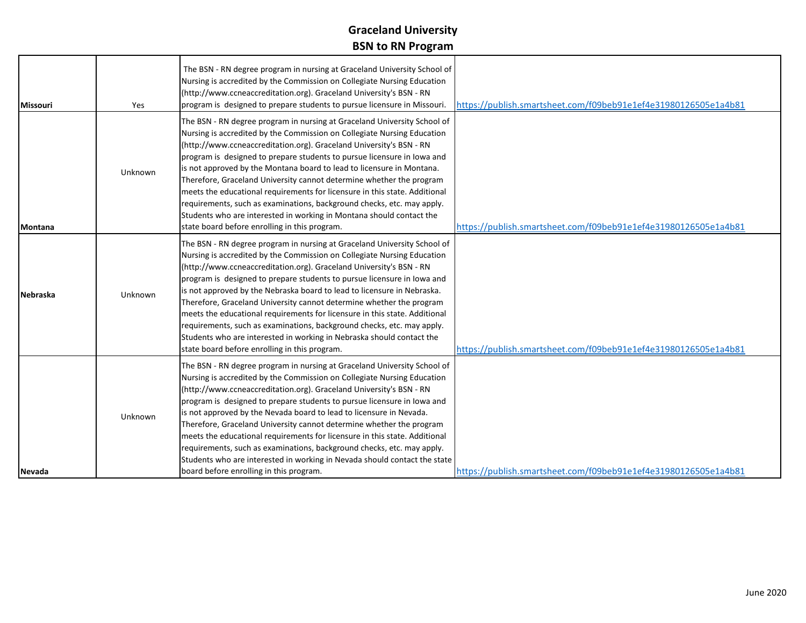| <b>Missouri</b> | Yes     | The BSN - RN degree program in nursing at Graceland University School of<br>Nursing is accredited by the Commission on Collegiate Nursing Education<br>(http://www.ccneaccreditation.org). Graceland University's BSN - RN<br>program is designed to prepare students to pursue licensure in Missouri.                                                                                                                                                                                                                                                                                                                                                                                                                                     | https://publish.smartsheet.com/f09beb91e1ef4e31980126505e1a4b81 |
|-----------------|---------|--------------------------------------------------------------------------------------------------------------------------------------------------------------------------------------------------------------------------------------------------------------------------------------------------------------------------------------------------------------------------------------------------------------------------------------------------------------------------------------------------------------------------------------------------------------------------------------------------------------------------------------------------------------------------------------------------------------------------------------------|-----------------------------------------------------------------|
| Montana         | Unknown | The BSN - RN degree program in nursing at Graceland University School of<br>Nursing is accredited by the Commission on Collegiate Nursing Education<br>(http://www.ccneaccreditation.org). Graceland University's BSN - RN<br>program is designed to prepare students to pursue licensure in lowa and<br>is not approved by the Montana board to lead to licensure in Montana.<br>Therefore, Graceland University cannot determine whether the program<br>meets the educational requirements for licensure in this state. Additional<br>requirements, such as examinations, background checks, etc. may apply.<br>Students who are interested in working in Montana should contact the<br>state board before enrolling in this program.    | https://publish.smartsheet.com/f09beb91e1ef4e31980126505e1a4b81 |
| <b>Nebraska</b> | Unknown | The BSN - RN degree program in nursing at Graceland University School of<br>Nursing is accredited by the Commission on Collegiate Nursing Education<br>(http://www.ccneaccreditation.org). Graceland University's BSN - RN<br>program is designed to prepare students to pursue licensure in lowa and<br>is not approved by the Nebraska board to lead to licensure in Nebraska.<br>Therefore, Graceland University cannot determine whether the program<br>meets the educational requirements for licensure in this state. Additional<br>requirements, such as examinations, background checks, etc. may apply.<br>Students who are interested in working in Nebraska should contact the<br>state board before enrolling in this program. | https://publish.smartsheet.com/f09beb91e1ef4e31980126505e1a4b81 |
| Nevada          | Unknown | The BSN - RN degree program in nursing at Graceland University School of<br>Nursing is accredited by the Commission on Collegiate Nursing Education<br>(http://www.ccneaccreditation.org). Graceland University's BSN - RN<br>program is designed to prepare students to pursue licensure in lowa and<br>is not approved by the Nevada board to lead to licensure in Nevada.<br>Therefore, Graceland University cannot determine whether the program<br>meets the educational requirements for licensure in this state. Additional<br>requirements, such as examinations, background checks, etc. may apply.<br>Students who are interested in working in Nevada should contact the state<br>board before enrolling in this program.       | https://publish.smartsheet.com/f09beb91e1ef4e31980126505e1a4b81 |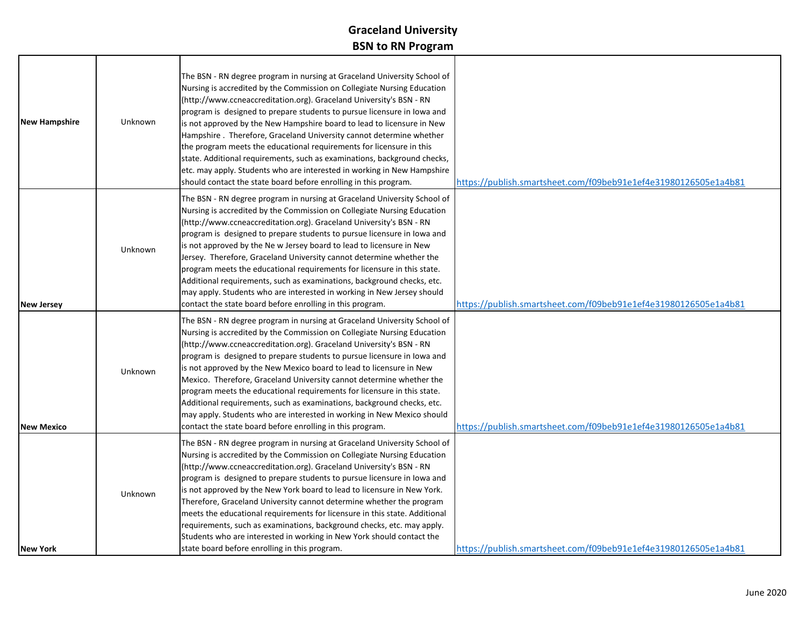| <b>New Hampshire</b> | Unknown | The BSN - RN degree program in nursing at Graceland University School of<br>Nursing is accredited by the Commission on Collegiate Nursing Education<br>(http://www.ccneaccreditation.org). Graceland University's BSN - RN<br>program is designed to prepare students to pursue licensure in lowa and<br>is not approved by the New Hampshire board to lead to licensure in New<br>Hampshire . Therefore, Graceland University cannot determine whether<br>the program meets the educational requirements for licensure in this<br>state. Additional requirements, such as examinations, background checks,<br>etc. may apply. Students who are interested in working in New Hampshire<br>should contact the state board before enrolling in this program. | https://publish.smartsheet.com/f09beb91e1ef4e31980126505e1a4b81 |
|----------------------|---------|------------------------------------------------------------------------------------------------------------------------------------------------------------------------------------------------------------------------------------------------------------------------------------------------------------------------------------------------------------------------------------------------------------------------------------------------------------------------------------------------------------------------------------------------------------------------------------------------------------------------------------------------------------------------------------------------------------------------------------------------------------|-----------------------------------------------------------------|
| <b>New Jersey</b>    | Unknown | The BSN - RN degree program in nursing at Graceland University School of<br>Nursing is accredited by the Commission on Collegiate Nursing Education<br>(http://www.ccneaccreditation.org). Graceland University's BSN - RN<br>program is designed to prepare students to pursue licensure in lowa and<br>is not approved by the Ne w Jersey board to lead to licensure in New<br>Jersey. Therefore, Graceland University cannot determine whether the<br>program meets the educational requirements for licensure in this state.<br>Additional requirements, such as examinations, background checks, etc.<br>may apply. Students who are interested in working in New Jersey should<br>contact the state board before enrolling in this program.          | https://publish.smartsheet.com/f09beb91e1ef4e31980126505e1a4b81 |
| <b>New Mexico</b>    | Unknown | The BSN - RN degree program in nursing at Graceland University School of<br>Nursing is accredited by the Commission on Collegiate Nursing Education<br>(http://www.ccneaccreditation.org). Graceland University's BSN - RN<br>program is designed to prepare students to pursue licensure in lowa and<br>is not approved by the New Mexico board to lead to licensure in New<br>Mexico. Therefore, Graceland University cannot determine whether the<br>program meets the educational requirements for licensure in this state.<br>Additional requirements, such as examinations, background checks, etc.<br>may apply. Students who are interested in working in New Mexico should<br>contact the state board before enrolling in this program.           | https://publish.smartsheet.com/f09beb91e1ef4e31980126505e1a4b81 |
| <b>New York</b>      | Unknown | The BSN - RN degree program in nursing at Graceland University School of<br>Nursing is accredited by the Commission on Collegiate Nursing Education<br>(http://www.ccneaccreditation.org). Graceland University's BSN - RN<br>program is designed to prepare students to pursue licensure in lowa and<br>is not approved by the New York board to lead to licensure in New York.<br>Therefore, Graceland University cannot determine whether the program<br>meets the educational requirements for licensure in this state. Additional<br>requirements, such as examinations, background checks, etc. may apply.<br>Students who are interested in working in New York should contact the<br>state board before enrolling in this program.                 | https://publish.smartsheet.com/f09beb91e1ef4e31980126505e1a4b81 |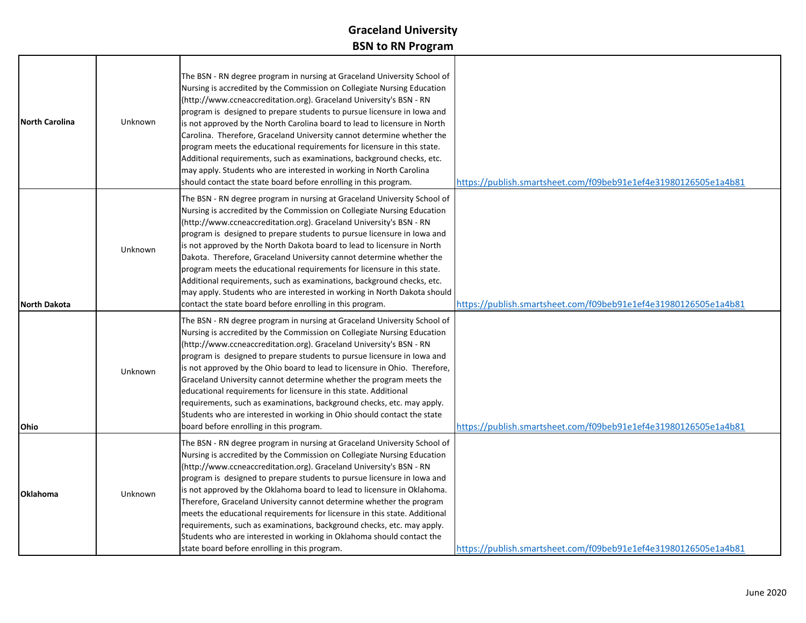| <b>North Carolina</b> | <b>Unknown</b> | The BSN - RN degree program in nursing at Graceland University School of<br>Nursing is accredited by the Commission on Collegiate Nursing Education<br>(http://www.ccneaccreditation.org). Graceland University's BSN - RN<br>program is designed to prepare students to pursue licensure in lowa and<br>is not approved by the North Carolina board to lead to licensure in North<br>Carolina. Therefore, Graceland University cannot determine whether the<br>program meets the educational requirements for licensure in this state.<br>Additional requirements, such as examinations, background checks, etc.<br>may apply. Students who are interested in working in North Carolina<br>should contact the state board before enrolling in this program. | https://publish.smartsheet.com/f09beb91e1ef4e31980126505e1a4b81 |
|-----------------------|----------------|--------------------------------------------------------------------------------------------------------------------------------------------------------------------------------------------------------------------------------------------------------------------------------------------------------------------------------------------------------------------------------------------------------------------------------------------------------------------------------------------------------------------------------------------------------------------------------------------------------------------------------------------------------------------------------------------------------------------------------------------------------------|-----------------------------------------------------------------|
| <b>North Dakota</b>   | <b>Unknown</b> | The BSN - RN degree program in nursing at Graceland University School of<br>Nursing is accredited by the Commission on Collegiate Nursing Education<br>(http://www.ccneaccreditation.org). Graceland University's BSN - RN<br>program is designed to prepare students to pursue licensure in lowa and<br>is not approved by the North Dakota board to lead to licensure in North<br>Dakota. Therefore, Graceland University cannot determine whether the<br>program meets the educational requirements for licensure in this state.<br>Additional requirements, such as examinations, background checks, etc.<br>may apply. Students who are interested in working in North Dakota should<br>contact the state board before enrolling in this program.       | https://publish.smartsheet.com/f09beb91e1ef4e31980126505e1a4b81 |
| Ohio                  | <b>Unknown</b> | The BSN - RN degree program in nursing at Graceland University School of<br>Nursing is accredited by the Commission on Collegiate Nursing Education<br>(http://www.ccneaccreditation.org). Graceland University's BSN - RN<br>program is designed to prepare students to pursue licensure in lowa and<br>is not approved by the Ohio board to lead to licensure in Ohio. Therefore,<br>Graceland University cannot determine whether the program meets the<br>educational requirements for licensure in this state. Additional<br>requirements, such as examinations, background checks, etc. may apply.<br>Students who are interested in working in Ohio should contact the state<br>board before enrolling in this program.                               | https://publish.smartsheet.com/f09beb91e1ef4e31980126505e1a4b81 |
| <b>Oklahoma</b>       | <b>Unknown</b> | The BSN - RN degree program in nursing at Graceland University School of<br>Nursing is accredited by the Commission on Collegiate Nursing Education<br>(http://www.ccneaccreditation.org). Graceland University's BSN - RN<br>program is designed to prepare students to pursue licensure in lowa and<br>is not approved by the Oklahoma board to lead to licensure in Oklahoma.<br>Therefore, Graceland University cannot determine whether the program<br>meets the educational requirements for licensure in this state. Additional<br>requirements, such as examinations, background checks, etc. may apply.<br>Students who are interested in working in Oklahoma should contact the<br>state board before enrolling in this program.                   | https://publish.smartsheet.com/f09beb91e1ef4e31980126505e1a4b81 |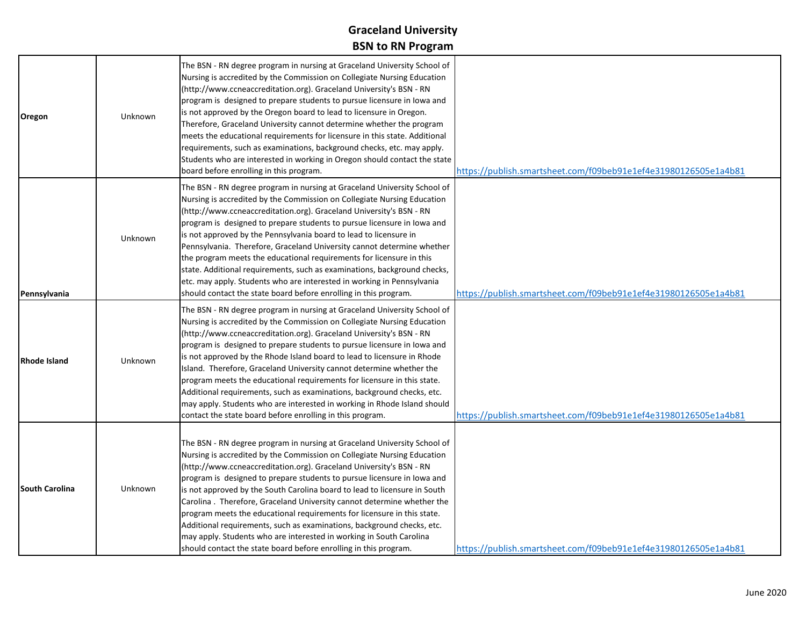| Oregon                | Unknown        | The BSN - RN degree program in nursing at Graceland University School of<br>Nursing is accredited by the Commission on Collegiate Nursing Education<br>(http://www.ccneaccreditation.org). Graceland University's BSN - RN<br>program is designed to prepare students to pursue licensure in lowa and<br>is not approved by the Oregon board to lead to licensure in Oregon.<br>Therefore, Graceland University cannot determine whether the program<br>meets the educational requirements for licensure in this state. Additional<br>requirements, such as examinations, background checks, etc. may apply.<br>Students who are interested in working in Oregon should contact the state<br>board before enrolling in this program.                         | https://publish.smartsheet.com/f09beb91e1ef4e31980126505e1a4b81 |
|-----------------------|----------------|--------------------------------------------------------------------------------------------------------------------------------------------------------------------------------------------------------------------------------------------------------------------------------------------------------------------------------------------------------------------------------------------------------------------------------------------------------------------------------------------------------------------------------------------------------------------------------------------------------------------------------------------------------------------------------------------------------------------------------------------------------------|-----------------------------------------------------------------|
| Pennsylvania          | <b>Unknown</b> | The BSN - RN degree program in nursing at Graceland University School of<br>Nursing is accredited by the Commission on Collegiate Nursing Education<br>(http://www.ccneaccreditation.org). Graceland University's BSN - RN<br>program is designed to prepare students to pursue licensure in lowa and<br>is not approved by the Pennsylvania board to lead to licensure in<br>Pennsylvania. Therefore, Graceland University cannot determine whether<br>the program meets the educational requirements for licensure in this<br>state. Additional requirements, such as examinations, background checks,<br>etc. may apply. Students who are interested in working in Pennsylvania<br>should contact the state board before enrolling in this program.       | https://publish.smartsheet.com/f09beb91e1ef4e31980126505e1a4b81 |
| <b>Rhode Island</b>   | <b>Unknown</b> | The BSN - RN degree program in nursing at Graceland University School of<br>Nursing is accredited by the Commission on Collegiate Nursing Education<br>(http://www.ccneaccreditation.org). Graceland University's BSN - RN<br>program is designed to prepare students to pursue licensure in lowa and<br>is not approved by the Rhode Island board to lead to licensure in Rhode<br>Island. Therefore, Graceland University cannot determine whether the<br>program meets the educational requirements for licensure in this state.<br>Additional requirements, such as examinations, background checks, etc.<br>may apply. Students who are interested in working in Rhode Island should<br>contact the state board before enrolling in this program.       | https://publish.smartsheet.com/f09beb91e1ef4e31980126505e1a4b81 |
| <b>South Carolina</b> | <b>Unknown</b> | The BSN - RN degree program in nursing at Graceland University School of<br>Nursing is accredited by the Commission on Collegiate Nursing Education<br>(http://www.ccneaccreditation.org). Graceland University's BSN - RN<br>program is designed to prepare students to pursue licensure in lowa and<br>is not approved by the South Carolina board to lead to licensure in South<br>Carolina. Therefore, Graceland University cannot determine whether the<br>program meets the educational requirements for licensure in this state.<br>Additional requirements, such as examinations, background checks, etc.<br>may apply. Students who are interested in working in South Carolina<br>should contact the state board before enrolling in this program. | https://publish.smartsheet.com/f09beb91e1ef4e31980126505e1a4b81 |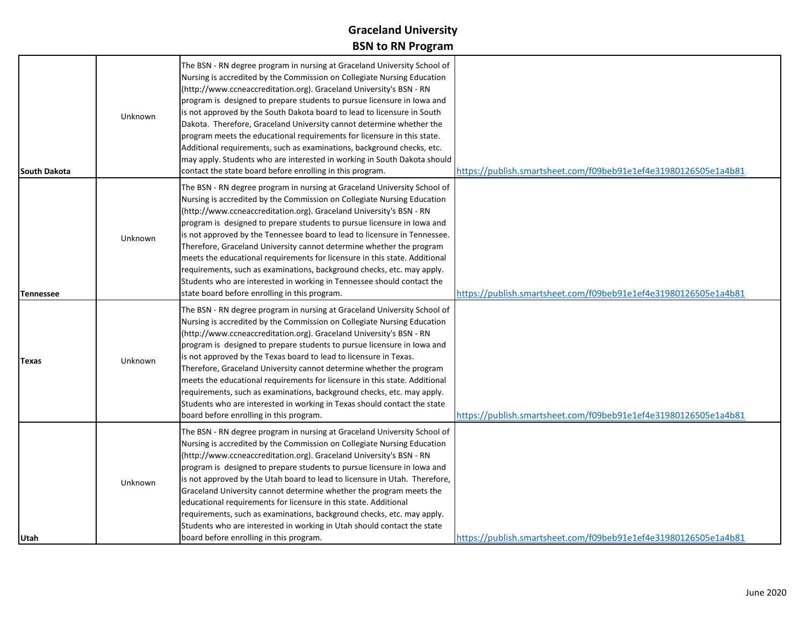| South Dakota     | Unknown | The BSN - RN degree program in nursing at Graceland University School of<br>Nursing is accredited by the Commission on Collegiate Nursing Education<br>(http://www.ccneaccreditation.org). Graceland University's BSN - RN<br>program is designed to prepare students to pursue licensure in lowa and<br>is not approved by the South Dakota board to lead to licensure in South<br>Dakota. Therefore, Graceland University cannot determine whether the<br>program meets the educational requirements for licensure in this state.<br>Additional requirements, such as examinations, background checks, etc.<br>may apply. Students who are interested in working in South Dakota should<br>contact the state board before enrolling in this program. | https://publish.smartsheet.com/f09beb91e1ef4e31980126505e1a4b81 |
|------------------|---------|--------------------------------------------------------------------------------------------------------------------------------------------------------------------------------------------------------------------------------------------------------------------------------------------------------------------------------------------------------------------------------------------------------------------------------------------------------------------------------------------------------------------------------------------------------------------------------------------------------------------------------------------------------------------------------------------------------------------------------------------------------|-----------------------------------------------------------------|
| <b>Tennessee</b> | Unknown | The BSN - RN degree program in nursing at Graceland University School of<br>Nursing is accredited by the Commission on Collegiate Nursing Education<br>(http://www.ccneaccreditation.org). Graceland University's BSN - RN<br>program is designed to prepare students to pursue licensure in lowa and<br>is not approved by the Tennessee board to lead to licensure in Tennessee.<br>Therefore, Graceland University cannot determine whether the program<br>meets the educational requirements for licensure in this state. Additional<br>requirements, such as examinations, background checks, etc. may apply.<br>Students who are interested in working in Tennessee should contact the<br>state board before enrolling in this program.          | https://publish.smartsheet.com/f09beb91e1ef4e31980126505e1a4b81 |
| Texas            | Unknown | The BSN - RN degree program in nursing at Graceland University School of<br>Nursing is accredited by the Commission on Collegiate Nursing Education<br>(http://www.ccneaccreditation.org). Graceland University's BSN - RN<br>program is designed to prepare students to pursue licensure in lowa and<br>is not approved by the Texas board to lead to licensure in Texas.<br>Therefore, Graceland University cannot determine whether the program<br>meets the educational requirements for licensure in this state. Additional<br>requirements, such as examinations, background checks, etc. may apply.<br>Students who are interested in working in Texas should contact the state<br>board before enrolling in this program.                      | https://publish.smartsheet.com/f09beb91e1ef4e31980126505e1a4b81 |
| Utah             | Unknown | The BSN - RN degree program in nursing at Graceland University School of<br>Nursing is accredited by the Commission on Collegiate Nursing Education<br>(http://www.ccneaccreditation.org). Graceland University's BSN - RN<br>program is designed to prepare students to pursue licensure in lowa and<br>is not approved by the Utah board to lead to licensure in Utah. Therefore,<br>Graceland University cannot determine whether the program meets the<br>educational requirements for licensure in this state. Additional<br>requirements, such as examinations, background checks, etc. may apply.<br>Students who are interested in working in Utah should contact the state<br>board before enrolling in this program.                         | https://publish.smartsheet.com/f09beb91e1ef4e31980126505e1a4b81 |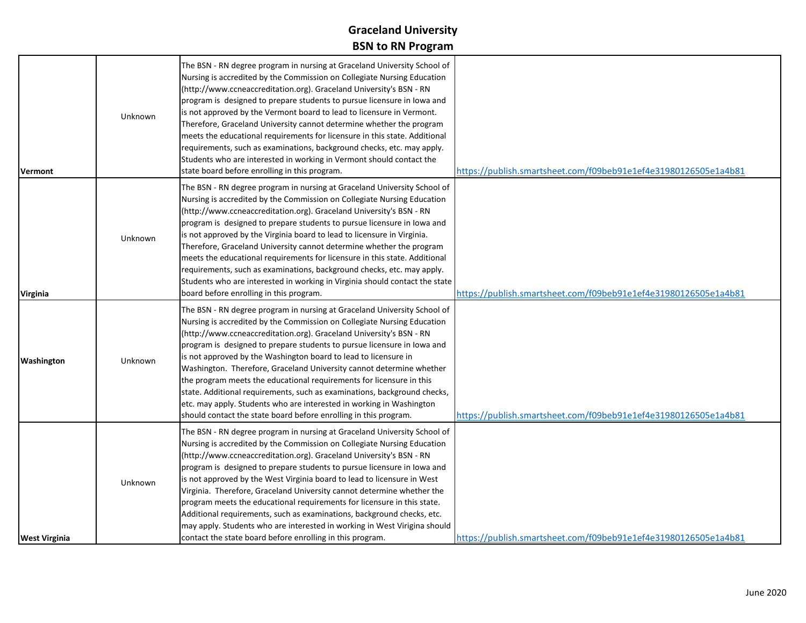| <b>Vermont</b>       | Unknown | The BSN - RN degree program in nursing at Graceland University School of<br>Nursing is accredited by the Commission on Collegiate Nursing Education<br>(http://www.ccneaccreditation.org). Graceland University's BSN - RN<br>program is designed to prepare students to pursue licensure in lowa and<br>is not approved by the Vermont board to lead to licensure in Vermont.<br>Therefore, Graceland University cannot determine whether the program<br>meets the educational requirements for licensure in this state. Additional<br>requirements, such as examinations, background checks, etc. may apply.<br>Students who are interested in working in Vermont should contact the<br>state board before enrolling in this program.                   | https://publish.smartsheet.com/f09beb91e1ef4e31980126505e1a4b81 |
|----------------------|---------|-----------------------------------------------------------------------------------------------------------------------------------------------------------------------------------------------------------------------------------------------------------------------------------------------------------------------------------------------------------------------------------------------------------------------------------------------------------------------------------------------------------------------------------------------------------------------------------------------------------------------------------------------------------------------------------------------------------------------------------------------------------|-----------------------------------------------------------------|
| <b>Virginia</b>      | Unknown | The BSN - RN degree program in nursing at Graceland University School of<br>Nursing is accredited by the Commission on Collegiate Nursing Education<br>(http://www.ccneaccreditation.org). Graceland University's BSN - RN<br>program is designed to prepare students to pursue licensure in lowa and<br>is not approved by the Virginia board to lead to licensure in Virginia.<br>Therefore, Graceland University cannot determine whether the program<br>meets the educational requirements for licensure in this state. Additional<br>requirements, such as examinations, background checks, etc. may apply.<br>Students who are interested in working in Virginia should contact the state<br>board before enrolling in this program.                | https://publish.smartsheet.com/f09beb91e1ef4e31980126505e1a4b81 |
| Washington           | Unknown | The BSN - RN degree program in nursing at Graceland University School of<br>Nursing is accredited by the Commission on Collegiate Nursing Education<br>(http://www.ccneaccreditation.org). Graceland University's BSN - RN<br>program is designed to prepare students to pursue licensure in lowa and<br>is not approved by the Washington board to lead to licensure in<br>Washington. Therefore, Graceland University cannot determine whether<br>the program meets the educational requirements for licensure in this<br>state. Additional requirements, such as examinations, background checks,<br>etc. may apply. Students who are interested in working in Washington<br>should contact the state board before enrolling in this program.          | https://publish.smartsheet.com/f09beb91e1ef4e31980126505e1a4b81 |
| <b>West Virginia</b> | Unknown | The BSN - RN degree program in nursing at Graceland University School of<br>Nursing is accredited by the Commission on Collegiate Nursing Education<br>(http://www.ccneaccreditation.org). Graceland University's BSN - RN<br>program is designed to prepare students to pursue licensure in lowa and<br>is not approved by the West Virginia board to lead to licensure in West<br>Virginia. Therefore, Graceland University cannot determine whether the<br>program meets the educational requirements for licensure in this state.<br>Additional requirements, such as examinations, background checks, etc.<br>may apply. Students who are interested in working in West Virigina should<br>contact the state board before enrolling in this program. | https://publish.smartsheet.com/f09beb91e1ef4e31980126505e1a4b81 |